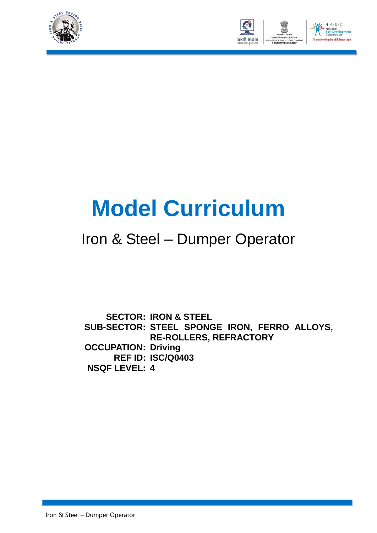



# **Model Curriculum**

### Iron & Steel – Dumper Operator

**SECTOR: IRON & STEEL SUB-SECTOR: STEEL SPONGE IRON, FERRO ALLOYS, OCCUPATION: Driving REF ID: ISC/Q0403 NSQF LEVEL: 4RE-ROLLERS, REFRACTORY**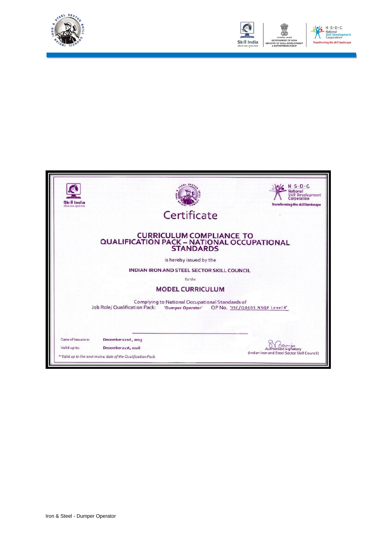



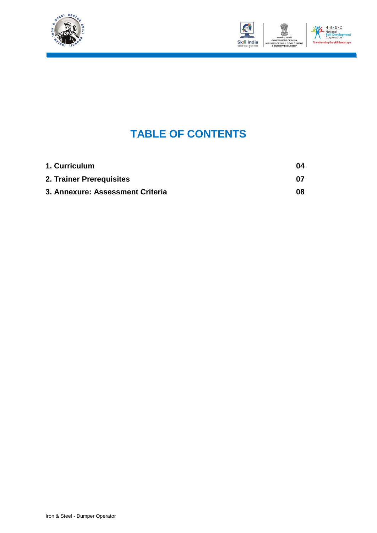



### **TABLE OF CONTENTS**

| 1. Curriculum                    | 04 |
|----------------------------------|----|
| 2. Trainer Prerequisites         | በ7 |
| 3. Annexure: Assessment Criteria | 08 |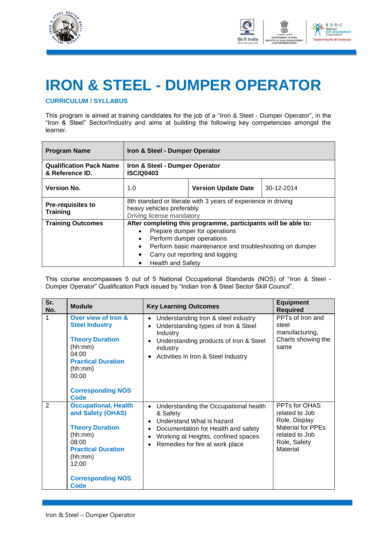



## **IRON & STEEL - DUMPER OPERATOR**

#### **CURRICULUM / SYLLABUS**

This program is aimed at training candidates for the job of a "Iron & Steel - Dumper Operator", in the "Iron & Steel" Sector/Industry and aims at building the following key competencies amongst the learner.

| <b>Program Name</b>                               | Iron & Steel - Dumper Operator                                                                                                                                                                                                                                                                |                                |            |  |  |
|---------------------------------------------------|-----------------------------------------------------------------------------------------------------------------------------------------------------------------------------------------------------------------------------------------------------------------------------------------------|--------------------------------|------------|--|--|
| <b>Qualification Pack Name</b><br>& Reference ID. | <b>ISC/Q0403</b>                                                                                                                                                                                                                                                                              | Iron & Steel - Dumper Operator |            |  |  |
| <b>Version No.</b>                                | 1.0                                                                                                                                                                                                                                                                                           | <b>Version Update Date</b>     | 30-12-2014 |  |  |
| <b>Pre-requisites to</b><br><b>Training</b>       | 8th standard or literate with 3 years of experience in driving<br>heavy vehicles preferably<br>Driving license mandatory                                                                                                                                                                      |                                |            |  |  |
| <b>Training Outcomes</b>                          | After completing this programme, participants will be able to:<br>Prepare dumper for operations<br>Perform dumper operations<br>$\bullet$<br>Perform basic maintenance and troubleshooting on dumper<br>$\bullet$<br>Carry out reporting and logging<br>$\bullet$<br><b>Health and Safety</b> |                                |            |  |  |

This course encompasses 5 out of 5 National Occupational Standards (NOS) of "Iron & Steel - Dumper Operator" Qualification Pack issued by "Indian Iron & Steel Sector Skill Council".

| Sr.<br>No.     | <b>Module</b>                                                                                                                                                                       | <b>Key Learning Outcomes</b>                                                                                                                                                                                                                                     | <b>Equipment</b><br><b>Required</b>                                                                                        |
|----------------|-------------------------------------------------------------------------------------------------------------------------------------------------------------------------------------|------------------------------------------------------------------------------------------------------------------------------------------------------------------------------------------------------------------------------------------------------------------|----------------------------------------------------------------------------------------------------------------------------|
| 1              | Over view of Iron &<br><b>Steel Industry</b><br><b>Theory Duration</b><br>(hh:mm)<br>04:00<br><b>Practical Duration</b><br>(hh:mm)<br>00:00<br><b>Corresponding NOS</b><br>Code     | Understanding Iron & steel industry<br>$\bullet$<br>Understanding types of Iron & Steel<br>$\bullet$<br>Industry<br>Understanding products of Iron & Steel<br>$\bullet$<br>industry<br>Activities in Iron & Steel Industry<br>$\bullet$                          | PPTs of Iron and<br>steel<br>manufacturing,<br>Charts showing the<br>same                                                  |
| $\overline{2}$ | <b>Occupational, Health</b><br>and Safety (OHAS)<br><b>Theory Duration</b><br>(hh:mm)<br>08:00<br><b>Practical Duration</b><br>(hh:mm)<br>12:00<br><b>Corresponding NOS</b><br>Code | Understanding the Occupational health<br>$\bullet$<br>& Safety<br>Understand What is hazard<br>$\bullet$<br>Documentation for Health and safety<br>$\bullet$<br>Working at Heights, confined spaces<br>$\bullet$<br>Remedies for fire at work place<br>$\bullet$ | PPTs for OHAS<br>related to Job<br>Role, Display<br><b>Material for PPEs</b><br>related to Job<br>Role, Safety<br>Material |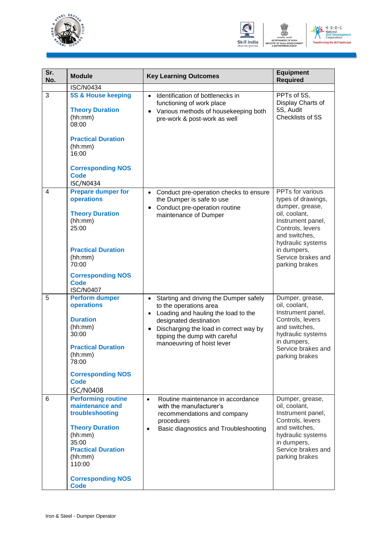



ent

| Sr.<br>No.     | <b>Module</b>                                                                                                                                                                                              | <b>Key Learning Outcomes</b>                                                                                                                                                                                                               | <b>Equipment</b><br><b>Required</b>                                                                                                                                                                              |
|----------------|------------------------------------------------------------------------------------------------------------------------------------------------------------------------------------------------------------|--------------------------------------------------------------------------------------------------------------------------------------------------------------------------------------------------------------------------------------------|------------------------------------------------------------------------------------------------------------------------------------------------------------------------------------------------------------------|
|                | <b>ISC/N0434</b>                                                                                                                                                                                           |                                                                                                                                                                                                                                            |                                                                                                                                                                                                                  |
| 3              | <b>5S &amp; House keeping</b><br><b>Theory Duration</b><br>(hh:mm)<br>08:00<br><b>Practical Duration</b><br>(hh:mm)<br>16:00<br><b>Corresponding NOS</b><br><b>Code</b><br><b>ISC/N0434</b>                | Identification of bottlenecks in<br>$\bullet$<br>functioning of work place<br>Various methods of housekeeping both<br>pre-work & post-work as well                                                                                         | PPTs of 5S,<br>Display Charts of<br>5S, Audit<br>Checklists of 5S                                                                                                                                                |
| $\overline{4}$ | <b>Prepare dumper for</b><br>operations<br><b>Theory Duration</b><br>(hh:mm)<br>25:00<br><b>Practical Duration</b><br>(hh:mm)<br>70:00<br><b>Corresponding NOS</b><br><b>Code</b><br><b>ISC/N0407</b>      | Conduct pre-operation checks to ensure<br>the Dumper is safe to use<br>Conduct pre-operation routine<br>maintenance of Dumper                                                                                                              | PPTs for various<br>types of drawings,<br>dumper, grease,<br>oil, coolant,<br>Instrument panel,<br>Controls, levers<br>and switches,<br>hydraulic systems<br>in dumpers,<br>Service brakes and<br>parking brakes |
| 5              | <b>Perform dumper</b><br>operations<br><b>Duration</b><br>(hh:mm)<br>30:00<br><b>Practical Duration</b><br>(hh:mm)<br>78:00<br><b>Corresponding NOS</b><br><b>Code</b><br><b>ISC/N0408</b>                 | Starting and driving the Dumper safely<br>to the operations area<br>Loading and hauling the load to the<br>designated destination<br>Discharging the load in correct way by<br>tipping the dump with careful<br>manoeuvring of hoist lever | Dumper, grease,<br>oil, coolant,<br>Instrument panel,<br>Controls, levers<br>and switches,<br>hydraulic systems<br>in dumpers,<br>Service brakes and<br>parking brakes                                           |
| 6              | <b>Performing routine</b><br>maintenance and<br>troubleshooting<br><b>Theory Duration</b><br>(hh:mm)<br>35:00<br><b>Practical Duration</b><br>(hh:mm)<br>110:00<br><b>Corresponding NOS</b><br><b>Code</b> | Routine maintenance in accordance<br>$\bullet$<br>with the manufacturer's<br>recommendations and company<br>procedures<br>Basic diagnostics and Troubleshooting<br>$\bullet$                                                               | Dumper, grease,<br>oil, coolant,<br>Instrument panel,<br>Controls, levers<br>and switches,<br>hydraulic systems<br>in dumpers,<br>Service brakes and<br>parking brakes                                           |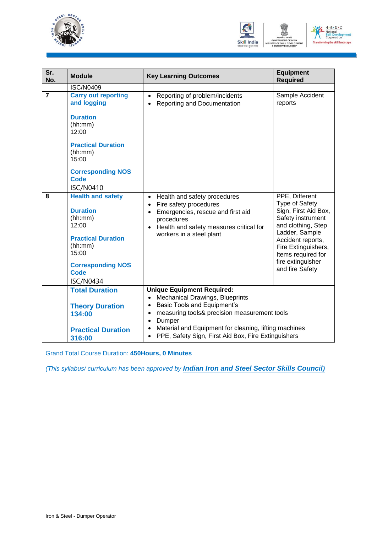



| Sr.<br>No.     | <b>Module</b>                                                                                                                                                                             | <b>Key Learning Outcomes</b>                                                                                                                                                                                                                                                                             | <b>Equipment</b><br><b>Required</b>                                                                                                                                                                                             |  |
|----------------|-------------------------------------------------------------------------------------------------------------------------------------------------------------------------------------------|----------------------------------------------------------------------------------------------------------------------------------------------------------------------------------------------------------------------------------------------------------------------------------------------------------|---------------------------------------------------------------------------------------------------------------------------------------------------------------------------------------------------------------------------------|--|
|                | <b>ISC/N0409</b>                                                                                                                                                                          |                                                                                                                                                                                                                                                                                                          |                                                                                                                                                                                                                                 |  |
| $\overline{7}$ | <b>Carry out reporting</b><br>and logging<br><b>Duration</b><br>(hh:mm)<br>12:00<br><b>Practical Duration</b><br>(hh:mm)<br>15:00<br><b>Corresponding NOS</b><br>Code<br><b>ISC/N0410</b> | Reporting of problem/incidents<br>$\bullet$<br>Reporting and Documentation                                                                                                                                                                                                                               | Sample Accident<br>reports                                                                                                                                                                                                      |  |
| 8              | <b>Health and safety</b><br><b>Duration</b><br>(hh:mm)<br>12:00<br><b>Practical Duration</b><br>(hh:mm)<br>15:00<br><b>Corresponding NOS</b><br><b>Code</b><br><b>ISC/N0434</b>           | Health and safety procedures<br>$\bullet$<br>Fire safety procedures<br>$\bullet$<br>Emergencies, rescue and first aid<br>$\bullet$<br>procedures<br>Health and safety measures critical for<br>workers in a steel plant                                                                                  | PPE, Different<br>Type of Safety<br>Sign, First Aid Box,<br>Safety instrument<br>and clothing, Step<br>Ladder, Sample<br>Accident reports,<br>Fire Extinguishers,<br>Items required for<br>fire extinguisher<br>and fire Safety |  |
|                | <b>Total Duration</b><br><b>Theory Duration</b><br>134:00<br><b>Practical Duration</b><br>316:00                                                                                          | <b>Unique Equipment Required:</b><br><b>Mechanical Drawings, Blueprints</b><br><b>Basic Tools and Equipment's</b><br>measuring tools& precision measurement tools<br>$\bullet$<br>Dumper<br>Material and Equipment for cleaning, lifting machines<br>PPE, Safety Sign, First Aid Box, Fire Extinguishers |                                                                                                                                                                                                                                 |  |

Grand Total Course Duration: **450Hours, 0 Minutes**

*(This syllabus/ curriculum has been approved by Indian Iron and Steel Sector Skills Council)*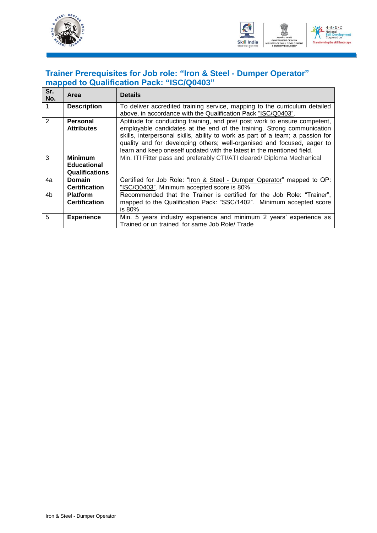



### **Trainer Prerequisites for Job role: "Iron & Steel - Dumper Operator" mapped to Qualification Pack: "ISC/Q0403"**

| Sr.<br>No.     | Area                  | <b>Details</b>                                                                 |
|----------------|-----------------------|--------------------------------------------------------------------------------|
|                | <b>Description</b>    | To deliver accredited training service, mapping to the curriculum detailed     |
|                |                       | above, in accordance with the Qualification Pack "ISC/Q0403".                  |
| $\overline{2}$ | <b>Personal</b>       | Aptitude for conducting training, and pre/ post work to ensure competent,      |
|                | <b>Attributes</b>     | employable candidates at the end of the training. Strong communication         |
|                |                       | skills, interpersonal skills, ability to work as part of a team; a passion for |
|                |                       | quality and for developing others; well-organised and focused, eager to        |
|                |                       | learn and keep oneself updated with the latest in the mentioned field.         |
| 3              | <b>Minimum</b>        | Min. ITI Fitter pass and preferably CTI/ATI cleared/ Diploma Mechanical        |
|                | <b>Educational</b>    |                                                                                |
|                | <b>Qualifications</b> |                                                                                |
| 4a             | <b>Domain</b>         | Certified for Job Role: "Iron & Steel - Dumper Operator" mapped to QP:         |
|                | <b>Certification</b>  | "ISC/Q0403". Minimum accepted score is 80%                                     |
| 4b             | <b>Platform</b>       | Recommended that the Trainer is certified for the Job Role: "Trainer",         |
|                | <b>Certification</b>  | mapped to the Qualification Pack: "SSC/1402". Minimum accepted score           |
|                |                       | is 80%                                                                         |
| 5              | <b>Experience</b>     | Min. 5 years industry experience and minimum 2 years' experience as            |
|                |                       | Trained or un trained for same Job Role/ Trade                                 |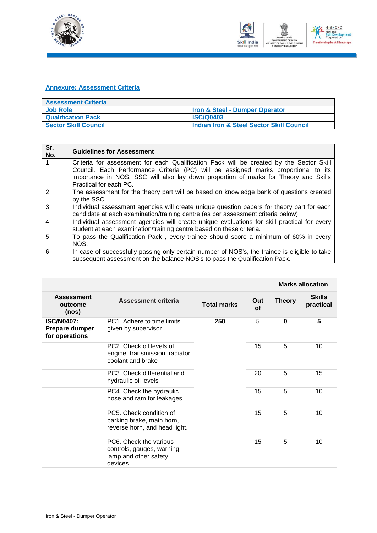



#### **Annexure: Assessment Criteria**

| <b>Assessment Criteria</b>  |                                          |
|-----------------------------|------------------------------------------|
| <b>Job Role</b>             | Iron & Steel - Dumper Operator           |
| <b>Qualification Pack</b>   | <b>ISC/Q0403</b>                         |
| <b>Sector Skill Council</b> | Indian Iron & Steel Sector Skill Council |

| Sr.<br>No.     | <b>Guidelines for Assessment</b>                                                                                                                                               |
|----------------|--------------------------------------------------------------------------------------------------------------------------------------------------------------------------------|
|                | Criteria for assessment for each Qualification Pack will be created by the Sector Skill                                                                                        |
|                | Council. Each Performance Criteria (PC) will be assigned marks proportional to its                                                                                             |
|                | importance in NOS. SSC will also lay down proportion of marks for Theory and Skills                                                                                            |
|                | Practical for each PC.                                                                                                                                                         |
| 2              | The assessment for the theory part will be based on knowledge bank of questions created                                                                                        |
|                | by the SSC                                                                                                                                                                     |
| 3              | Individual assessment agencies will create unique question papers for theory part for each<br>candidate at each examination/training centre (as per assessment criteria below) |
| $\overline{4}$ | Individual assessment agencies will create unique evaluations for skill practical for every                                                                                    |
|                | student at each examination/training centre based on these criteria.                                                                                                           |
| 5              | To pass the Qualification Pack, every trainee should score a minimum of 60% in every                                                                                           |
|                | NOS.                                                                                                                                                                           |
| 6              | In case of successfully passing only certain number of NOS's, the trainee is eligible to take                                                                                  |
|                | subsequent assessment on the balance NOS's to pass the Qualification Pack.                                                                                                     |

|                                                       |                                                                                         |                    |                  |               | <b>Marks allocation</b>    |
|-------------------------------------------------------|-----------------------------------------------------------------------------------------|--------------------|------------------|---------------|----------------------------|
| <b>Assessment</b><br>outcome<br>(nos)                 | <b>Assessment criteria</b>                                                              | <b>Total marks</b> | Out<br><b>of</b> | <b>Theory</b> | <b>Skills</b><br>practical |
| <b>ISC/N0407:</b><br>Prepare dumper<br>for operations | PC1. Adhere to time limits<br>given by supervisor                                       | 250                | 5                | $\bf{0}$      | 5                          |
|                                                       | PC2. Check oil levels of<br>engine, transmission, radiator<br>coolant and brake         |                    | 15               | 5             | 10                         |
|                                                       | PC3. Check differential and<br>hydraulic oil levels                                     |                    | 20               | 5             | 15                         |
|                                                       | PC4. Check the hydraulic<br>hose and ram for leakages                                   |                    | 15               | 5             | 10                         |
|                                                       | PC5. Check condition of<br>parking brake, main horn,<br>reverse horn, and head light.   |                    | 15               | 5             | 10                         |
|                                                       | PC6. Check the various<br>controls, gauges, warning<br>lamp and other safety<br>devices |                    | 15               | 5             | 10                         |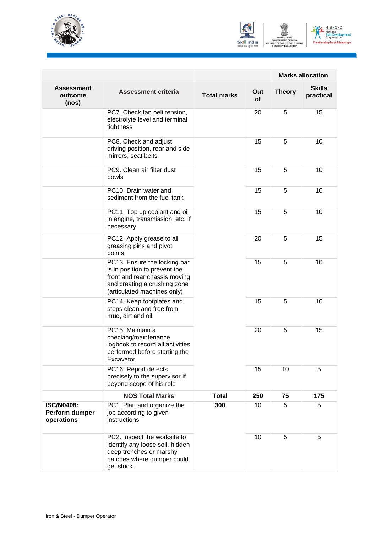





|                                                   |                                                                                                                                                               |                    |           | <b>Marks allocation</b> |                            |
|---------------------------------------------------|---------------------------------------------------------------------------------------------------------------------------------------------------------------|--------------------|-----------|-------------------------|----------------------------|
| <b>Assessment</b><br>outcome<br>(nos)             | <b>Assessment criteria</b>                                                                                                                                    | <b>Total marks</b> | Out<br>οf | <b>Theory</b>           | <b>Skills</b><br>practical |
|                                                   | PC7. Check fan belt tension,<br>electrolyte level and terminal<br>tightness                                                                                   |                    | 20        | 5                       | 15                         |
|                                                   | PC8. Check and adjust<br>driving position, rear and side<br>mirrors, seat belts                                                                               |                    | 15        | 5                       | 10                         |
|                                                   | PC9. Clean air filter dust<br>bowls                                                                                                                           |                    | 15        | 5                       | 10                         |
|                                                   | PC10. Drain water and<br>sediment from the fuel tank                                                                                                          |                    | 15        | 5                       | 10                         |
|                                                   | PC11. Top up coolant and oil<br>in engine, transmission, etc. if<br>necessary                                                                                 |                    | 15        | 5                       | 10                         |
|                                                   | PC12. Apply grease to all<br>greasing pins and pivot<br>points                                                                                                |                    | 20        | 5                       | 15                         |
|                                                   | PC13. Ensure the locking bar<br>is in position to prevent the<br>front and rear chassis moving<br>and creating a crushing zone<br>(articulated machines only) |                    | 15        | 5                       | 10                         |
|                                                   | PC14. Keep footplates and<br>steps clean and free from<br>mud, dirt and oil                                                                                   |                    | 15        | 5                       | 10                         |
|                                                   | PC15. Maintain a<br>checking/maintenance<br>logbook to record all activities<br>performed before starting the<br>Excavator                                    |                    | 20        | 5                       | 15                         |
|                                                   | PC16. Report defects<br>precisely to the supervisor if<br>beyond scope of his role                                                                            |                    | 15        | 10                      | 5                          |
|                                                   | <b>NOS Total Marks</b>                                                                                                                                        | <b>Total</b>       | 250       | 75                      | 175                        |
| <b>ISC/N0408:</b><br>Perform dumper<br>operations | PC1. Plan and organize the<br>job according to given<br>instructions                                                                                          | 300                | 10        | 5                       | 5                          |
|                                                   | PC2. Inspect the worksite to<br>identify any loose soil, hidden<br>deep trenches or marshy<br>patches where dumper could<br>get stuck.                        |                    | 10        | 5                       | 5                          |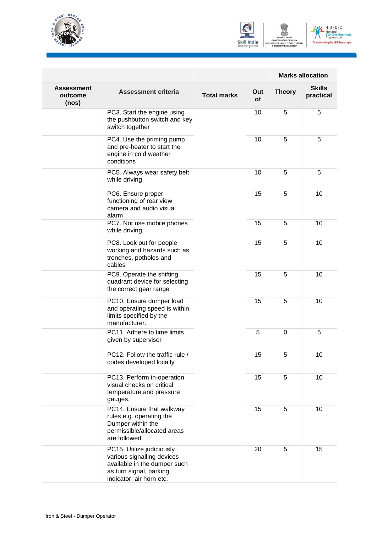





|                                       |                                                                                                                                                |                    |           | <b>Marks allocation</b> |                            |
|---------------------------------------|------------------------------------------------------------------------------------------------------------------------------------------------|--------------------|-----------|-------------------------|----------------------------|
| <b>Assessment</b><br>outcome<br>(nos) | Assessment criteria                                                                                                                            | <b>Total marks</b> | Out<br>οf | <b>Theory</b>           | <b>Skills</b><br>practical |
|                                       | PC3. Start the engine using<br>the pushbutton switch and key<br>switch together                                                                |                    | 10        | 5                       | 5                          |
|                                       | PC4. Use the priming pump<br>and pre-heater to start the<br>engine in cold weather<br>conditions                                               |                    | 10        | 5                       | 5                          |
|                                       | PC5. Always wear safety belt<br>while driving                                                                                                  |                    | 10        | 5                       | 5                          |
|                                       | PC6. Ensure proper<br>functioning of rear view<br>camera and audio visual<br>alarm                                                             |                    | 15        | 5                       | 10                         |
|                                       | PC7. Not use mobile phones<br>while driving                                                                                                    |                    | 15        | 5                       | 10                         |
|                                       | PC8. Look out for people<br>working and hazards such as<br>trenches, potholes and<br>cables                                                    |                    | 15        | 5                       | 10                         |
|                                       | PC9. Operate the shifting<br>quadrant device for selecting<br>the correct gear range                                                           |                    | 15        | 5                       | 10                         |
|                                       | PC10. Ensure dumper load<br>and operating speed is within<br>limits specified by the<br>manufacturer.                                          |                    | 15        | 5                       | 10                         |
|                                       | PC11. Adhere to time limits<br>given by supervisor                                                                                             |                    | 5         | $\Omega$                | 5                          |
|                                       | PC12. Follow the traffic rule /<br>codes developed locally                                                                                     |                    | 15        | 5                       | 10                         |
|                                       | PC13. Perform in-operation<br>visual checks on critical<br>temperature and pressure<br>gauges.                                                 |                    | 15        | 5                       | 10                         |
|                                       | PC14. Ensure that walkway<br>rules e.g. operating the<br>Dumper within the<br>permissible/allocated areas<br>are followed                      |                    | 15        | 5                       | 10                         |
|                                       | PC15. Utilize judiciously<br>various signalling devices<br>available in the dumper such<br>as turn signal, parking<br>indicator, air horn etc. |                    | 20        | 5                       | 15                         |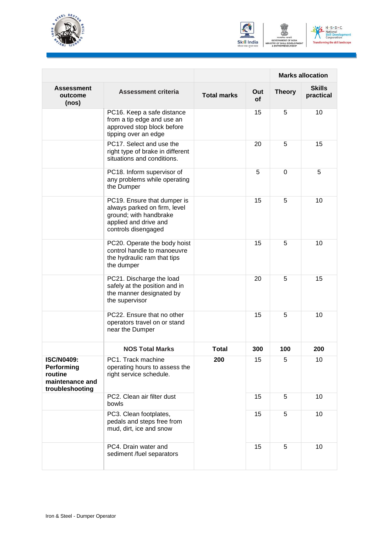





|                                                                                  |                                                                                                                                       |                    |           |               | <b>Marks allocation</b>    |
|----------------------------------------------------------------------------------|---------------------------------------------------------------------------------------------------------------------------------------|--------------------|-----------|---------------|----------------------------|
| <b>Assessment</b><br>outcome<br>(nos)                                            | <b>Assessment criteria</b>                                                                                                            | <b>Total marks</b> | Out<br>οf | <b>Theory</b> | <b>Skills</b><br>practical |
|                                                                                  | PC16. Keep a safe distance<br>from a tip edge and use an<br>approved stop block before<br>tipping over an edge                        |                    | 15        | 5             | 10                         |
|                                                                                  | PC17. Select and use the<br>right type of brake in different<br>situations and conditions.                                            |                    | 20        | 5             | 15                         |
|                                                                                  | PC18. Inform supervisor of<br>any problems while operating<br>the Dumper                                                              |                    | 5         | $\Omega$      | 5                          |
|                                                                                  | PC19. Ensure that dumper is<br>always parked on firm, level<br>ground; with handbrake<br>applied and drive and<br>controls disengaged |                    | 15        | 5             | 10                         |
|                                                                                  | PC20. Operate the body hoist<br>control handle to manoeuvre<br>the hydraulic ram that tips<br>the dumper                              |                    | 15        | 5             | 10                         |
|                                                                                  | PC21. Discharge the load<br>safely at the position and in<br>the manner designated by<br>the supervisor                               |                    | 20        | 5             | 15                         |
|                                                                                  | PC22. Ensure that no other<br>operators travel on or stand<br>near the Dumper                                                         |                    | 15        | 5             | 10                         |
|                                                                                  | <b>NOS Total Marks</b>                                                                                                                | <b>Total</b>       | 300       | 100           | 200                        |
| <b>ISC/N0409:</b><br>Performing<br>routine<br>maintenance and<br>troubleshooting | PC1. Track machine<br>operating hours to assess the<br>right service schedule.                                                        | 200                | 15        | 5             | 10                         |
|                                                                                  | PC2. Clean air filter dust<br>bowls                                                                                                   |                    | 15        | 5             | 10                         |
|                                                                                  | PC3. Clean footplates,<br>pedals and steps free from<br>mud, dirt, ice and snow                                                       |                    | 15        | 5             | 10                         |
|                                                                                  | PC4. Drain water and<br>sediment /fuel separators                                                                                     |                    | 15        | 5             | 10                         |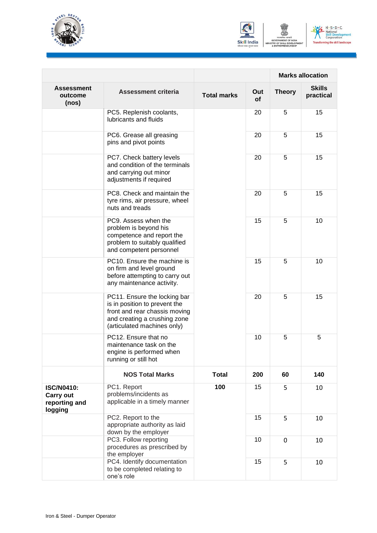





|                                                                   |                                                                                                                                                               |                    |           | <b>Marks allocation</b> |                            |
|-------------------------------------------------------------------|---------------------------------------------------------------------------------------------------------------------------------------------------------------|--------------------|-----------|-------------------------|----------------------------|
| <b>Assessment</b><br>outcome<br>(nos)                             | <b>Assessment criteria</b>                                                                                                                                    | <b>Total marks</b> | Out<br>οf | <b>Theory</b>           | <b>Skills</b><br>practical |
|                                                                   | PC5. Replenish coolants,<br>lubricants and fluids                                                                                                             |                    | 20        | 5                       | 15                         |
|                                                                   | PC6. Grease all greasing<br>pins and pivot points                                                                                                             |                    | 20        | 5                       | 15                         |
|                                                                   | PC7. Check battery levels<br>and condition of the terminals<br>and carrying out minor<br>adjustments if required                                              |                    | 20        | 5                       | 15                         |
|                                                                   | PC8. Check and maintain the<br>tyre rims, air pressure, wheel<br>nuts and treads                                                                              |                    | 20        | 5                       | 15                         |
|                                                                   | PC9. Assess when the<br>problem is beyond his<br>competence and report the<br>problem to suitably qualified<br>and competent personnel                        |                    | 15        | 5                       | 10                         |
|                                                                   | PC10. Ensure the machine is<br>on firm and level ground<br>before attempting to carry out<br>any maintenance activity.                                        |                    | 15        | 5                       | 10                         |
|                                                                   | PC11. Ensure the locking bar<br>is in position to prevent the<br>front and rear chassis moving<br>and creating a crushing zone<br>(articulated machines only) | 20                 | 5         | 15                      |                            |
|                                                                   | PC12. Ensure that no<br>maintenance task on the<br>engine is performed when<br>running or still hot                                                           |                    | 10        | 5                       | 5                          |
|                                                                   | <b>NOS Total Marks</b>                                                                                                                                        | <b>Total</b>       | 200       | 60                      | 140                        |
| <b>ISC/N0410:</b><br><b>Carry out</b><br>reporting and<br>logging | PC1. Report<br>problems/incidents as<br>applicable in a timely manner                                                                                         | 100                | 15        | 5                       | 10                         |
|                                                                   | PC2. Report to the<br>appropriate authority as laid<br>down by the employer                                                                                   |                    | 15        | 5                       | 10                         |
|                                                                   | PC3. Follow reporting<br>procedures as prescribed by<br>the employer                                                                                          |                    | 10        | 0                       | 10                         |
|                                                                   | PC4. Identify documentation<br>to be completed relating to<br>one's role                                                                                      |                    | 15        | 5                       | 10                         |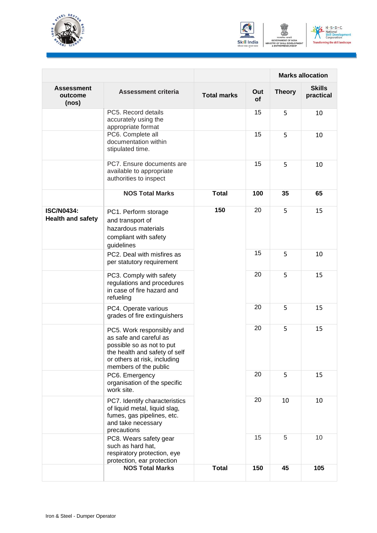



ent

|                                               |                                                                                                                                                                            |                    |           | <b>Marks allocation</b> |                            |  |
|-----------------------------------------------|----------------------------------------------------------------------------------------------------------------------------------------------------------------------------|--------------------|-----------|-------------------------|----------------------------|--|
| Assessment<br>outcome<br>(nos)                | <b>Assessment criteria</b>                                                                                                                                                 | <b>Total marks</b> | Out<br>οf | <b>Theory</b>           | <b>Skills</b><br>practical |  |
|                                               | PC5. Record details<br>accurately using the<br>appropriate format                                                                                                          |                    | 15        | 5                       | 10                         |  |
|                                               | PC6. Complete all<br>documentation within<br>stipulated time.                                                                                                              |                    | 15        | 5                       | 10                         |  |
|                                               | PC7. Ensure documents are<br>available to appropriate<br>authorities to inspect                                                                                            |                    | 15        | 5                       | 10                         |  |
|                                               | <b>NOS Total Marks</b>                                                                                                                                                     | <b>Total</b>       | 100       | 35                      | 65                         |  |
| <b>ISC/N0434:</b><br><b>Health and safety</b> | PC1. Perform storage<br>and transport of<br>hazardous materials<br>compliant with safety<br>guidelines                                                                     | 150                | 20        | 5                       | 15                         |  |
|                                               | PC2. Deal with misfires as<br>per statutory requirement                                                                                                                    |                    | 15        | 5                       | 10                         |  |
|                                               | PC3. Comply with safety<br>regulations and procedures<br>in case of fire hazard and<br>refueling                                                                           |                    | 20        | 5                       | 15                         |  |
|                                               | PC4. Operate various<br>grades of fire extinguishers                                                                                                                       |                    | 20        | 5                       | 15                         |  |
|                                               | PC5. Work responsibly and<br>as safe and careful as<br>possible so as not to put<br>the health and safety of self<br>or others at risk, including<br>members of the public |                    | 20        | 5                       | 15                         |  |
|                                               | PC6. Emergency<br>organisation of the specific<br>work site.                                                                                                               |                    | 20        | 5                       | 15                         |  |
|                                               | PC7. Identify characteristics<br>of liquid metal, liquid slag,<br>fumes, gas pipelines, etc.<br>and take necessary<br>precautions                                          |                    | 20        | 10                      | 10                         |  |
|                                               | PC8. Wears safety gear<br>such as hard hat,<br>respiratory protection, eye<br>protection, ear protection                                                                   |                    | 15        | 5                       | 10                         |  |
|                                               | <b>NOS Total Marks</b>                                                                                                                                                     | <b>Total</b>       | 150       | 45                      | 105                        |  |